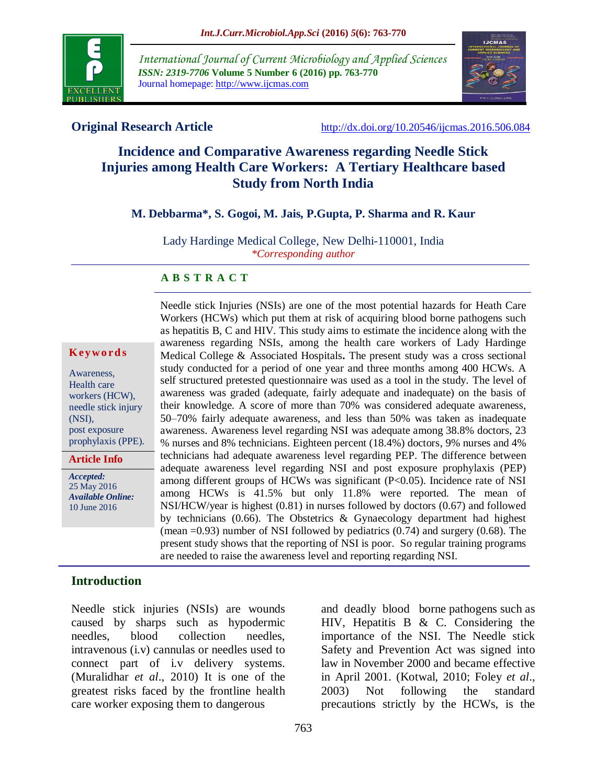

*International Journal of Current Microbiology and Applied Sciences ISSN: 2319-7706* **Volume 5 Number 6 (2016) pp. 763-770** Journal homepage: http://www.ijcmas.com



**Original Research Article** <http://dx.doi.org/10.20546/ijcmas.2016.506.084>

# **Incidence and Comparative Awareness regarding Needle Stick Injuries among Health Care Workers: A Tertiary Healthcare based Study from North India**

#### **M. Debbarma\*, S. Gogoi, M. Jais, P.Gupta, P. Sharma and R. Kaur**

Lady Hardinge Medical College, New Delhi-110001, India *\*Corresponding author*

#### **A B S T R A C T**

#### **K ey w o rd s**

Awareness, Health care workers (HCW), needle stick injury (NSI), post exposure prophylaxis (PPE).

**Article Info**

*Accepted:*  25 May 2016 *Available Online:* 10 June 2016

Needle stick Injuries (NSIs) are one of the most potential hazards for Heath Care Workers (HCWs) which put them at risk of acquiring blood borne pathogens such as hepatitis B, C and HIV. This study aims to estimate the incidence along with the awareness regarding NSIs, among the health care workers of Lady Hardinge Medical College & Associated Hospitals**.** The present study was a cross sectional study conducted for a period of one year and three months among 400 HCWs. A self structured pretested questionnaire was used as a tool in the study. The level of awareness was graded (adequate, fairly adequate and inadequate) on the basis of their knowledge. A score of more than 70% was considered adequate awareness, 50–70% fairly adequate awareness, and less than 50% was taken as inadequate awareness. Awareness level regarding NSI was adequate among 38.8% doctors, 23 % nurses and 8% technicians. Eighteen percent (18.4%) doctors, 9% nurses and 4% technicians had adequate awareness level regarding PEP. The difference between adequate awareness level regarding NSI and post exposure prophylaxis (PEP) among different groups of HCWs was significant (P<0.05). Incidence rate of NSI among HCWs is 41.5% but only 11.8% were reported. The mean of NSI/HCW/year is highest (0.81) in nurses followed by doctors (0.67) and followed by technicians (0.66). The Obstetrics & Gynaecology department had highest (mean  $=0.93$ ) number of NSI followed by pediatrics  $(0.74)$  and surgery  $(0.68)$ . The present study shows that the reporting of NSI is poor. So regular training programs are needed to raise the awareness level and reporting regarding NSI.

#### **Introduction**

Needle stick injuries (NSIs) are wounds caused by sharps such as hypodermic needles, blood collection needles, intravenous (i.v) cannulas or needles used to connect part of i.v delivery systems. (Muralidhar *et al*., 2010) It is one of the greatest risks faced by the frontline health care worker exposing them to dangerous

and deadly blood borne pathogens such as HIV, Hepatitis B & C. Considering the importance of the NSI. The Needle stick Safety and Prevention Act was signed into law in November 2000 and became effective in April 2001. (Kotwal, 2010; Foley *et al*., 2003) Not following the standard precautions strictly by the HCWs, is the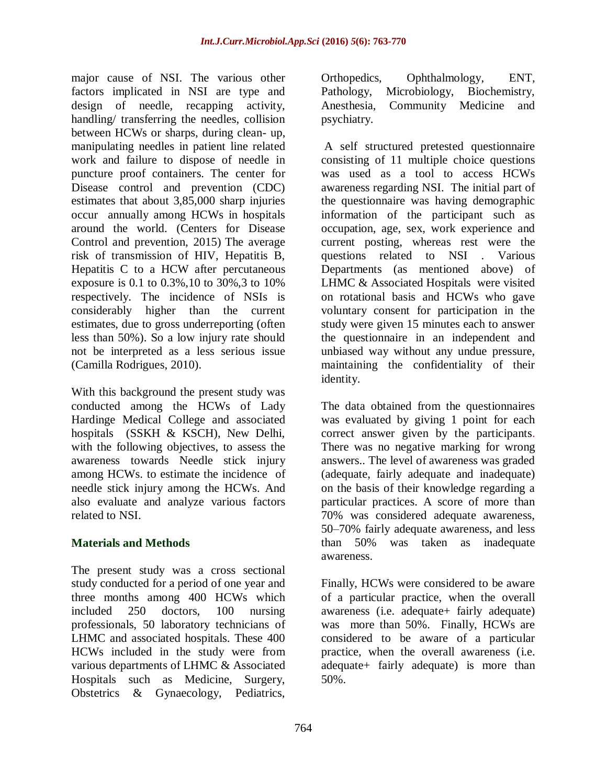major cause of NSI. The various other factors implicated in NSI are type and design of needle, recapping activity, handling/ transferring the needles, collision between HCWs or sharps, during clean- up, manipulating needles in patient line related work and failure to dispose of needle in puncture proof containers. The center for Disease control and prevention (CDC) estimates that about 3,85,000 sharp injuries occur annually among HCWs in hospitals around the world. (Centers for Disease Control and prevention, 2015) The average risk of transmission of HIV, Hepatitis B, Hepatitis C to a HCW after percutaneous exposure is 0.1 to 0.3%,10 to 30%,3 to 10% respectively. The incidence of NSIs is considerably higher than the current estimates, due to gross underreporting (often less than 50%). So a low injury rate should not be interpreted as a less serious issue (Camilla Rodrigues, 2010).

With this background the present study was conducted among the HCWs of Lady Hardinge Medical College and associated hospitals (SSKH & KSCH), New Delhi, with the following objectives, to assess the awareness towards Needle stick injury among HCWs. to estimate the incidence of needle stick injury among the HCWs. And also evaluate and analyze various factors related to NSI.

## **Materials and Methods**

The present study was a cross sectional study conducted for a period of one year and three months among 400 HCWs which included 250 doctors, 100 nursing professionals, 50 laboratory technicians of LHMC and associated hospitals. These 400 HCWs included in the study were from various departments of LHMC & Associated Hospitals such as Medicine, Surgery, Obstetrics & Gynaecology, Pediatrics,

Orthopedics, Ophthalmology, ENT, Pathology, Microbiology, Biochemistry, Anesthesia, Community Medicine and psychiatry.

A self structured pretested questionnaire consisting of 11 multiple choice questions was used as a tool to access HCWs awareness regarding NSI. The initial part of the questionnaire was having demographic information of the participant such as occupation, age, sex, work experience and current posting, whereas rest were the questions related to NSI . Various Departments (as mentioned above) of LHMC & Associated Hospitals were visited on rotational basis and HCWs who gave voluntary consent for participation in the study were given 15 minutes each to answer the questionnaire in an independent and unbiased way without any undue pressure, maintaining the confidentiality of their identity.

The data obtained from the questionnaires was evaluated by giving 1 point for each correct answer given by the participants. There was no negative marking for wrong answers.. The level of awareness was graded (adequate, fairly adequate and inadequate) on the basis of their knowledge regarding a particular practices. A score of more than 70% was considered adequate awareness, 50–70% fairly adequate awareness, and less than 50% was taken as inadequate awareness.

Finally, HCWs were considered to be aware of a particular practice, when the overall awareness (i.e. adequate+ fairly adequate) was more than 50%. Finally, HCWs are considered to be aware of a particular practice, when the overall awareness (i.e. adequate+ fairly adequate) is more than 50%.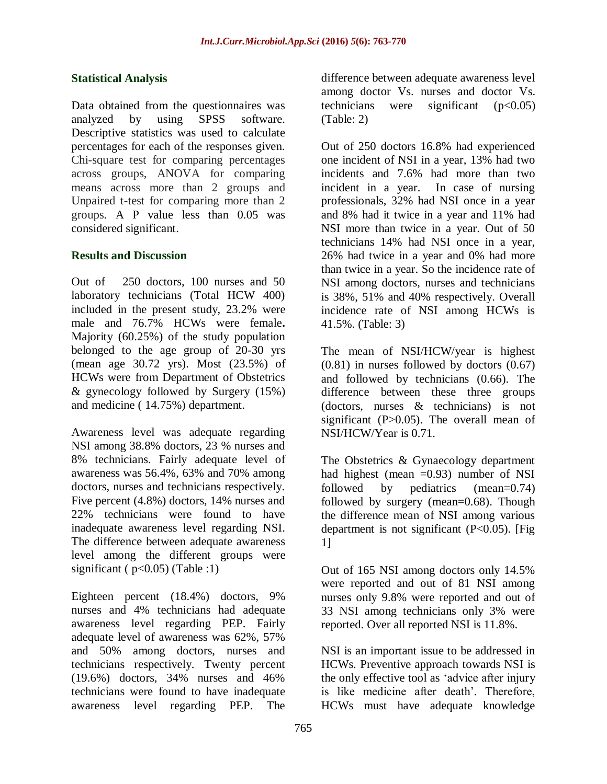#### **Statistical Analysis**

Data obtained from the questionnaires was analyzed by using SPSS software. Descriptive statistics was used to calculate percentages for each of the responses given. Chi-square test for comparing percentages across groups, ANOVA for comparing means across more than 2 groups and Unpaired t-test for comparing more than 2 groups. A P value less than 0.05 was considered significant.

#### **Results and Discussion**

Out of 250 doctors, 100 nurses and 50 laboratory technicians (Total HCW 400) included in the present study, 23.2% were male and 76.7% HCWs were female**.**  Majority (60.25%) of the study population belonged to the age group of 20-30 yrs (mean age 30.72 yrs). Most (23.5%) of HCWs were from Department of Obstetrics & gynecology followed by Surgery (15%) and medicine ( 14.75%) department.

Awareness level was adequate regarding NSI among 38.8% doctors, 23 % nurses and 8% technicians. Fairly adequate level of awareness was 56.4%, 63% and 70% among doctors, nurses and technicians respectively. Five percent (4.8%) doctors, 14% nurses and 22% technicians were found to have inadequate awareness level regarding NSI. The difference between adequate awareness level among the different groups were significant ( $p<0.05$ ) (Table :1)

Eighteen percent (18.4%) doctors, 9% nurses and 4% technicians had adequate awareness level regarding PEP. Fairly adequate level of awareness was 62%, 57% and 50% among doctors, nurses and technicians respectively. Twenty percent (19.6%) doctors, 34% nurses and 46% technicians were found to have inadequate awareness level regarding PEP. The

difference between adequate awareness level among doctor Vs. nurses and doctor Vs. technicians were significant  $(p<0.05)$ (Table: 2)

Out of 250 doctors 16.8% had experienced one incident of NSI in a year, 13% had two incidents and 7.6% had more than two incident in a year. In case of nursing professionals, 32% had NSI once in a year and 8% had it twice in a year and 11% had NSI more than twice in a year. Out of 50 technicians 14% had NSI once in a year, 26% had twice in a year and 0% had more than twice in a year. So the incidence rate of NSI among doctors, nurses and technicians is 38%, 51% and 40% respectively. Overall incidence rate of NSI among HCWs is 41.5%. (Table: 3)

The mean of NSI/HCW/year is highest (0.81) in nurses followed by doctors (0.67) and followed by technicians (0.66). The difference between these three groups (doctors, nurses & technicians) is not significant  $(P>0.05)$ . The overall mean of NSI/HCW/Year is 0.71.

The Obstetrics & Gynaecology department had highest (mean  $=0.93$ ) number of NSI followed by pediatrics (mean=0.74) followed by surgery (mean=0.68). Though the difference mean of NSI among various department is not significant (P<0.05). [Fig 1]

Out of 165 NSI among doctors only 14.5% were reported and out of 81 NSI among nurses only 9.8% were reported and out of 33 NSI among technicians only 3% were reported. Over all reported NSI is 11.8%.

NSI is an important issue to be addressed in HCWs. Preventive approach towards NSI is the only effective tool as 'advice after injury is like medicine after death'. Therefore, HCWs must have adequate knowledge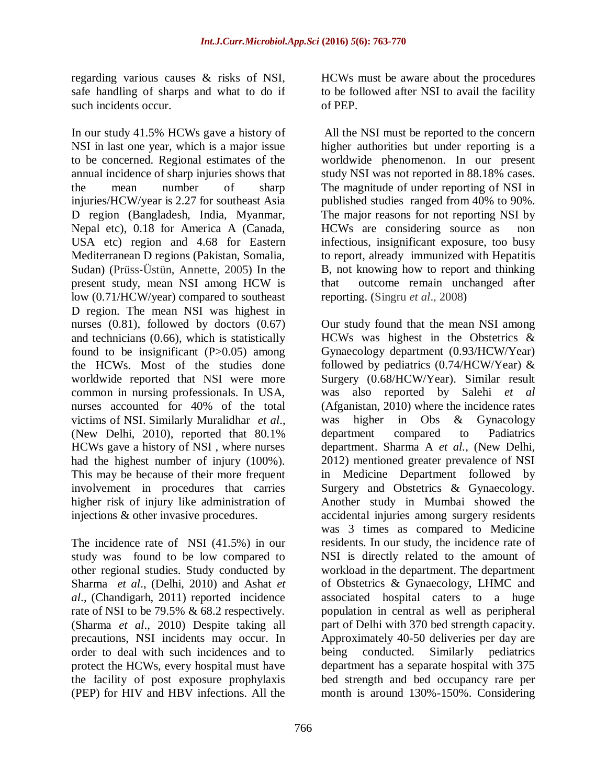regarding various causes & risks of NSI, safe handling of sharps and what to do if such incidents occur.

In our study 41.5% HCWs gave a history of NSI in last one year, which is a major issue to be concerned. Regional estimates of the annual incidence of sharp injuries shows that the mean number of sharp injuries/HCW/year is 2.27 for southeast Asia D region (Bangladesh, India, Myanmar, Nepal etc), 0.18 for America A (Canada, USA etc) region and 4.68 for Eastern Mediterranean D regions (Pakistan, Somalia, Sudan) (Prüss‐Üstün, Annette, 2005) In the present study, mean NSI among HCW is low (0.71/HCW/year) compared to southeast D region. The mean NSI was highest in nurses (0.81), followed by doctors (0.67) and technicians (0.66), which is statistically found to be insignificant  $(P>0.05)$  among the HCWs. Most of the studies done worldwide reported that NSI were more common in nursing professionals. In USA, nurses accounted for 40% of the total victims of NSI. Similarly Muralidhar *et al*., (New Delhi, 2010), reported that 80.1% HCWs gave a history of NSI , where nurses had the highest number of injury (100%). This may be because of their more frequent involvement in procedures that carries higher risk of injury like administration of injections & other invasive procedures.

The incidence rate of NSI (41.5%) in our study was found to be low compared to other regional studies. Study conducted by Sharma *et al*., (Delhi, 2010) and Ashat *et al*., (Chandigarh, 2011) reported incidence rate of NSI to be 79.5% & 68.2 respectively. (Sharma *et al*., 2010) Despite taking all precautions, NSI incidents may occur. In order to deal with such incidences and to protect the HCWs, every hospital must have the facility of post exposure prophylaxis (PEP) for HIV and HBV infections. All the

HCWs must be aware about the procedures to be followed after NSI to avail the facility of PEP.

All the NSI must be reported to the concern higher authorities but under reporting is a worldwide phenomenon. In our present study NSI was not reported in 88.18% cases. The magnitude of under reporting of NSI in published studies ranged from 40% to 90%. The major reasons for not reporting NSI by HCWs are considering source as non infectious, insignificant exposure, too busy to report, already immunized with Hepatitis B, not knowing how to report and thinking that outcome remain unchanged after reporting. (Singru *et al*., 2008)

Our study found that the mean NSI among HCWs was highest in the Obstetrics & Gynaecology department (0.93/HCW/Year) followed by pediatrics (0.74/HCW/Year) & Surgery (0.68/HCW/Year). Similar result was also reported by Salehi *et al* (Afganistan, 2010) where the incidence rates was higher in Obs & Gynacology department compared to Padiatrics department. Sharma A *et al.,* (New Delhi, 2012) mentioned greater prevalence of NSI in Medicine Department followed by Surgery and Obstetrics & Gynaecology. Another study in Mumbai showed the accidental injuries among surgery residents was 3 times as compared to Medicine residents. In our study, the incidence rate of NSI is directly related to the amount of workload in the department. The department of Obstetrics & Gynaecology, LHMC and associated hospital caters to a huge population in central as well as peripheral part of Delhi with 370 bed strength capacity. Approximately 40-50 deliveries per day are being conducted. Similarly pediatrics department has a separate hospital with 375 bed strength and bed occupancy rare per month is around 130%-150%. Considering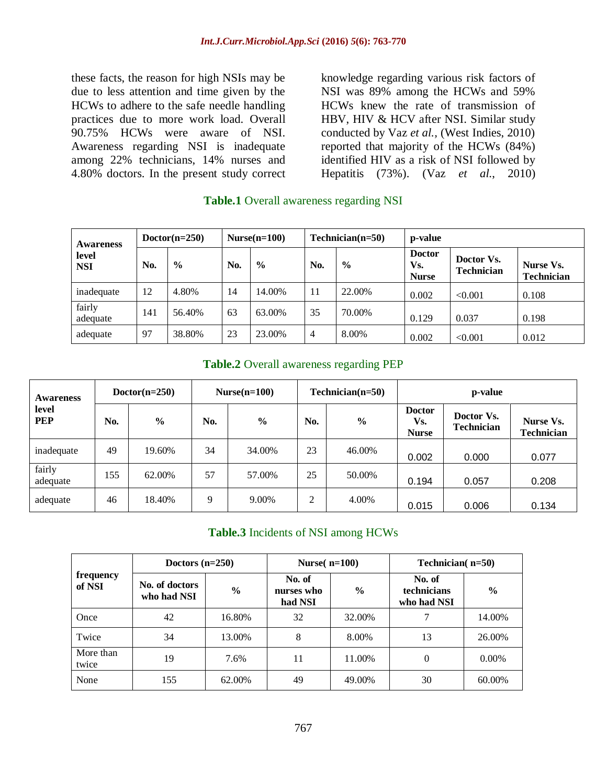these facts, the reason for high NSIs may be due to less attention and time given by the HCWs to adhere to the safe needle handling practices due to more work load. Overall 90.75% HCWs were aware of NSI. Awareness regarding NSI is inadequate among 22% technicians, 14% nurses and 4.80% doctors. In the present study correct

knowledge regarding various risk factors of NSI was 89% among the HCWs and 59% HCWs knew the rate of transmission of HBV, HIV & HCV after NSI. Similar study conducted by Vaz *et al.,* (West Indies, 2010) reported that majority of the HCWs (84%) identified HIV as a risk of NSI followed by Hepatitis (73%). (Vaz *et al*., 2010)

| <b>Awareness</b><br>level<br><b>NSI</b> | $Dotor(n=250)$ |               | $Nurse(n=100)$ |               | $Technician(n=50)$ |               | p-value                              |                                 |                                |
|-----------------------------------------|----------------|---------------|----------------|---------------|--------------------|---------------|--------------------------------------|---------------------------------|--------------------------------|
|                                         | No.            | $\frac{0}{0}$ | No.            | $\frac{0}{0}$ | No.                | $\frac{6}{6}$ | <b>Doctor</b><br>Vs.<br><b>Nurse</b> | Doctor Vs.<br><b>Technician</b> | Nurse Vs.<br><b>Technician</b> |
| inadequate                              | 12             | 4.80%         | 14             | 14.00%        | 11                 | 22.00%        | 0.002                                | < 0.001                         | 0.108                          |
| fairly<br>adequate                      | 141            | 56.40%        | 63             | 63.00%        | 35                 | 70.00%        | 0.129                                | 0.037                           | 0.198                          |
| adequate                                | 97             | 38.80%        | 23             | 23.00%        | 4                  | 8.00%         | 0.002                                | < 0.001                         | 0.012                          |

#### **Table.1** Overall awareness regarding NSI

#### **Table.2** Overall awareness regarding PEP

| Awareness<br>level<br><b>PEP</b> | $Doctor(n=250)$ |               | $Nurse(n=100)$ |               | $Technician(n=50)$ |               | p-value                              |                                 |                                |
|----------------------------------|-----------------|---------------|----------------|---------------|--------------------|---------------|--------------------------------------|---------------------------------|--------------------------------|
|                                  | No.             | $\frac{0}{0}$ | No.            | $\frac{0}{0}$ | No.                | $\frac{0}{0}$ | <b>Doctor</b><br>Vs.<br><b>Nurse</b> | Doctor Vs.<br><b>Technician</b> | Nurse Vs.<br><b>Technician</b> |
| inadequate                       | 49              | 19.60%        | 34             | 34.00%        | 23                 | 46.00%        | 0.002                                | 0.000                           | 0.077                          |
| fairly<br>adequate               | 155             | 62.00%        | 57             | 57.00%        | 25                 | 50.00%        | 0.194                                | 0.057                           | 0.208                          |
| adequate                         | 46              | 18.40%        | 9              | 9.00%         | 2                  | 4.00%         | 0.015                                | 0.006                           | 0.134                          |

#### **Table.3** Incidents of NSI among HCWs

| frequency<br>of NSI | Doctors $(n=250)$             |               | Nurse $(n=100)$                 |               | Technician( $n=50$ )                 |               |  |
|---------------------|-------------------------------|---------------|---------------------------------|---------------|--------------------------------------|---------------|--|
|                     | No. of doctors<br>who had NSI | $\frac{6}{9}$ | No. of<br>nurses who<br>had NSI | $\frac{6}{9}$ | No. of<br>technicians<br>who had NSI | $\frac{6}{9}$ |  |
| Once                | 42                            | 16.80%        | 32                              | 32.00%        | 7                                    | 14.00%        |  |
| Twice               | 34                            | 13.00%        | 8                               | 8.00%         | 13                                   | 26.00%        |  |
| More than<br>twice  | 19                            | 7.6%          | 11                              | 11.00%        | $\Omega$                             | $0.00\%$      |  |
| None                | 155                           | 62.00%        | 49                              | 49.00%        | 30                                   | 60.00%        |  |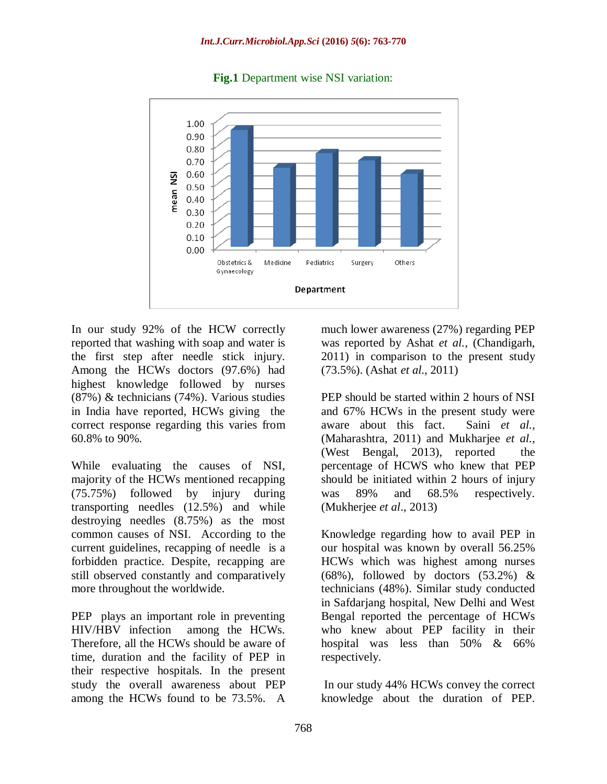

#### **Fig.1** Department wise NSI variation:

In our study 92% of the HCW correctly reported that washing with soap and water is the first step after needle stick injury. Among the HCWs doctors (97.6%) had highest knowledge followed by nurses (87%) & technicians (74%). Various studies in India have reported, HCWs giving the correct response regarding this varies from 60.8% to 90%.

While evaluating the causes of NSI, majority of the HCWs mentioned recapping (75.75%) followed by injury during transporting needles (12.5%) and while destroying needles (8.75%) as the most common causes of NSI. According to the current guidelines, recapping of needle is a forbidden practice. Despite, recapping are still observed constantly and comparatively more throughout the worldwide.

PEP plays an important role in preventing HIV/HBV infection among the HCWs. Therefore, all the HCWs should be aware of time, duration and the facility of PEP in their respective hospitals. In the present study the overall awareness about PEP among the HCWs found to be 73.5%. A

much lower awareness (27%) regarding PEP was reported by Ashat *et al.,* (Chandigarh, 2011) in comparison to the present study (73.5%). (Ashat *et al*., 2011)

PEP should be started within 2 hours of NSI and 67% HCWs in the present study were aware about this fact. Saini *et al.,* (Maharashtra, 2011) and Mukharjee *et al.,* (West Bengal, 2013), reported the percentage of HCWS who knew that PEP should be initiated within 2 hours of injury was 89% and 68.5% respectively. (Mukherjee *et al*., 2013)

Knowledge regarding how to avail PEP in our hospital was known by overall 56.25% HCWs which was highest among nurses (68%), followed by doctors  $(53.2\%)$  & technicians (48%). Similar study conducted in Safdarjang hospital, New Delhi and West Bengal reported the percentage of HCWs who knew about PEP facility in their hospital was less than 50% & 66% respectively.

In our study 44% HCWs convey the correct knowledge about the duration of PEP.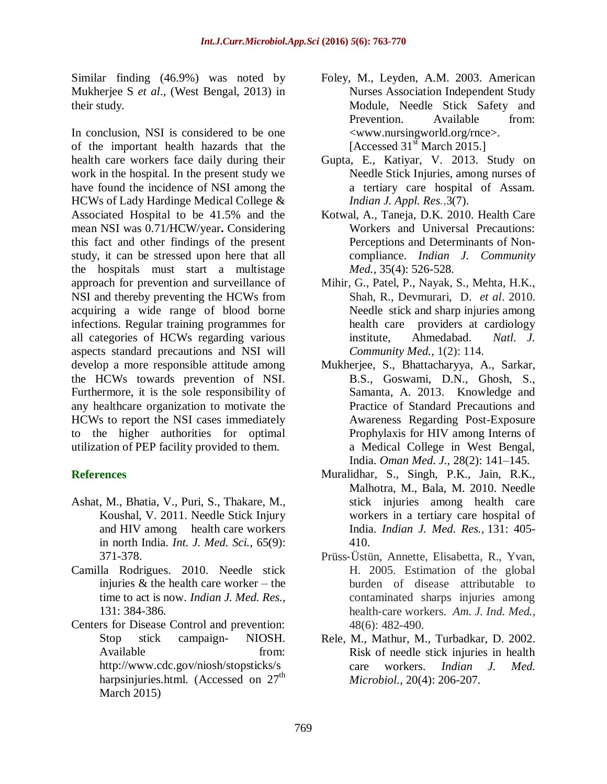Similar finding (46.9%) was noted by Mukherjee S *et al*., (West Bengal, 2013) in their study.

In conclusion, NSI is considered to be one of the important health hazards that the health care workers face daily during their work in the hospital. In the present study we have found the incidence of NSI among the HCWs of Lady Hardinge Medical College & Associated Hospital to be 41.5% and the mean NSI was 0.71/HCW/year**.** Considering this fact and other findings of the present study, it can be stressed upon here that all the hospitals must start a multistage approach for prevention and surveillance of NSI and thereby preventing the HCWs from acquiring a wide range of blood borne infections. Regular training programmes for all categories of HCWs regarding various aspects standard precautions and NSI will develop a more responsible attitude among the HCWs towards prevention of NSI. Furthermore, it is the sole responsibility of any healthcare organization to motivate the HCWs to report the NSI cases immediately to the higher authorities for optimal utilization of PEP facility provided to them.

## **References**

- Ashat, M., Bhatia, V., Puri, S., Thakare, M., Koushal, V. 2011. Needle Stick Injury and HIV among health care workers in north India. *Int. J. Med. Sci.,* 65(9): 371-378.
- Camilla Rodrigues. 2010. Needle stick injuries  $\&$  the health care worker – the time to act is now. *Indian J. Med. Res.,* 131: 384-386.
- Centers for Disease Control and prevention: Stop stick campaign- NIOSH. Available from: [http://www.cdc.gov/niosh/stopsticks/s](http://www.cdc.gov/niosh/stopsticks/sharpsinjuries.html) [harpsinjuries.html.](http://www.cdc.gov/niosh/stopsticks/sharpsinjuries.html) (Accessed on  $27<sup>th</sup>$ March 2015)
- Foley, M., Leyden, A.M. 2003. American Nurses Association Independent Study Module, Needle Stick Safety and Prevention. Available from: <www.nursingworld.org/rnce>. [Accessed  $31<sup>st</sup>$  March 2015.]
- Gupta, E., Katiyar, V. 2013. Study on Needle Stick Injuries, among nurses of a tertiary care hospital of Assam. *Indian J. Appl. Res.*,3(7).
- Kotwal, A., Taneja, D.K. 2010. Health Care Workers and Universal Precautions: Perceptions and Determinants of Noncompliance. *Indian J. Community Med.,* 35(4): 526-528.
- Mihir, G., Patel, P., Nayak, S., Mehta, H.K., Shah, R., Devmurari, D. *et al*. 2010. Needle stick and sharp injuries among health care providers at cardiology institute, Ahmedabad. *Natl. J. Community Med.,* 1(2): 114.
- Mukherjee, S., Bhattacharyya, A., Sarkar, B.S., Goswami, D.N., Ghosh, S., Samanta, A. 2013. Knowledge and Practice of Standard Precautions and Awareness Regarding Post-Exposure Prophylaxis for HIV among Interns of a Medical College in West Bengal, India. *Oman Med. J.,* 28(2): 141–145.
- Muralidhar, S., Singh, P.K., Jain, R.K., Malhotra, M., Bala, M. 2010. Needle stick injuries among health care workers in a tertiary care hospital of India. *Indian J. Med. Res.,* 131: 405- 410.
- Prüss‐Üstün, Annette, Elisabetta, R., Yvan, H. 2005. Estimation of the global burden of disease attributable to contaminated sharps injuries among health‐care workers. *Am. J. Ind. Med.,* 48(6): 482-490.
- Rele, M., Mathur, M., Turbadkar, D. 2002. Risk of needle stick injuries in health care workers. *Indian J. Med. Microbiol.,* 20(4): 206-207.